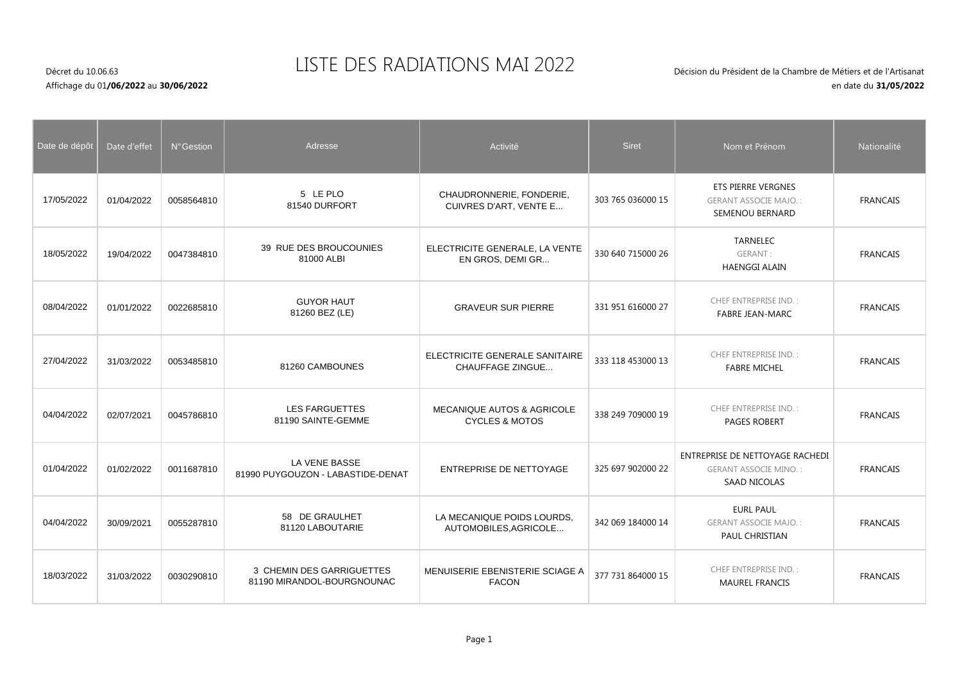## LISTE DES RADIATIONS MAI 2022

## Décret du 10.06.63Affichage du 01**/06/2022** au **30/06/2022**

| Date de dépôt | Date d'effet | N° Gestion | Adresse                                                 | Activité                                                           | <b>Siret</b>      | Nom et Prénom                                                                          | Nationalité     |
|---------------|--------------|------------|---------------------------------------------------------|--------------------------------------------------------------------|-------------------|----------------------------------------------------------------------------------------|-----------------|
| 17/05/2022    | 01/04/2022   | 0058564810 | 5 LE PLO<br>81540 DURFORT                               | CHAUDRONNERIE, FONDERIE,<br>CUIVRES D'ART, VENTE E                 | 303 765 036000 15 | <b>ETS PIERRE VERGNES</b><br><b>GERANT ASSOCIE MAJO.:</b><br>SEMENOU BERNARD           | <b>FRANCAIS</b> |
| 18/05/2022    | 19/04/2022   | 0047384810 | 39 RUE DES BROUCOUNIES<br>81000 ALBI                    | ELECTRICITE GENERALE, LA VENTE<br>EN GROS, DEMI GR                 | 330 640 715000 26 | <b>TARNELEC</b><br>GERANT:<br><b>HAENGGI ALAIN</b>                                     | <b>FRANCAIS</b> |
| 08/04/2022    | 01/01/2022   | 0022685810 | <b>GUYOR HAUT</b><br>81260 BEZ (LE)                     | <b>GRAVEUR SUR PIERRE</b>                                          | 331 951 616000 27 | <b>CHEF ENTREPRISE IND.:</b><br><b>FABRE JEAN-MARC</b>                                 | <b>FRANCAIS</b> |
| 27/04/2022    | 31/03/2022   | 0053485810 | 81260 CAMBOUNES                                         | ELECTRICITE GENERALE SANITAIRE<br><b>CHAUFFAGE ZINGUE</b>          | 333 118 453000 13 | <b>CHEF ENTREPRISE IND.:</b><br><b>FABRE MICHEL</b>                                    | <b>FRANCAIS</b> |
| 04/04/2022    | 02/07/2021   | 0045786810 | <b>LES FARGUETTES</b><br>81190 SAINTE-GEMME             | <b>MECANIQUE AUTOS &amp; AGRICOLE</b><br><b>CYCLES &amp; MOTOS</b> | 338 249 709000 19 | <b>CHEF ENTREPRISE IND.:</b><br><b>PAGES ROBERT</b>                                    | <b>FRANCAIS</b> |
| 01/04/2022    | 01/02/2022   | 0011687810 | LA VENE BASSE<br>81990 PUYGOUZON - LABASTIDE-DENAT      | <b>ENTREPRISE DE NETTOYAGE</b>                                     | 325 697 902000 22 | ENTREPRISE DE NETTOYAGE RACHEDI<br><b>GERANT ASSOCIE MINO.:</b><br><b>SAAD NICOLAS</b> | <b>FRANCAIS</b> |
| 04/04/2022    | 30/09/2021   | 0055287810 | 58 DE GRAULHET<br>81120 LABOUTARIE                      | LA MECANIQUE POIDS LOURDS,<br>AUTOMOBILES, AGRICOLE                | 342 069 184000 14 | <b>EURL PAUL</b><br><b>GERANT ASSOCIE MAJO.:</b><br>PAUL CHRISTIAN                     | <b>FRANCAIS</b> |
| 18/03/2022    | 31/03/2022   | 0030290810 | 3 CHEMIN DES GARRIGUETTES<br>81190 MIRANDOL-BOURGNOUNAC | MENUISERIE EBENISTERIE SCIAGE A<br><b>FACON</b>                    | 377 731 864000 15 | <b>CHEF ENTREPRISE IND.:</b><br><b>MAUREL FRANCIS</b>                                  | <b>FRANCAIS</b> |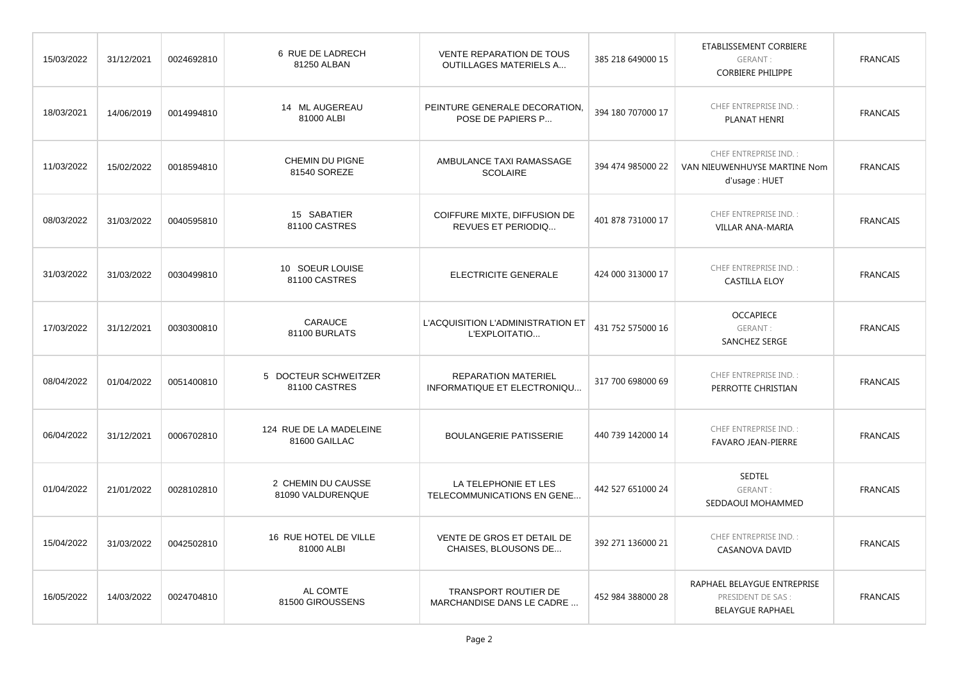| 15/03/2022 | 31/12/2021 | 0024692810 | 6 RUE DE LADRECH<br>81250 ALBAN          | <b>VENTE REPARATION DE TOUS</b><br><b>OUTILLAGES MATERIELS A</b> | 385 218 649000 15 | ETABLISSEMENT CORBIERE<br>GERANT:<br><b>CORBIERE PHILIPPE</b>                | <b>FRANCAIS</b> |
|------------|------------|------------|------------------------------------------|------------------------------------------------------------------|-------------------|------------------------------------------------------------------------------|-----------------|
| 18/03/2021 | 14/06/2019 | 0014994810 | 14 ML AUGEREAU<br>81000 ALBI             | PEINTURE GENERALE DECORATION.<br>POSE DE PAPIERS P               | 394 180 707000 17 | CHEF ENTREPRISE IND.:<br>PLANAT HENRI                                        | <b>FRANCAIS</b> |
| 11/03/2022 | 15/02/2022 | 0018594810 | CHEMIN DU PIGNE<br>81540 SOREZE          | AMBULANCE TAXI RAMASSAGE<br><b>SCOLAIRE</b>                      | 394 474 985000 22 | CHEF ENTREPRISE IND.:<br>VAN NIEUWENHUYSE MARTINE Nom<br>d'usage : HUET      | <b>FRANCAIS</b> |
| 08/03/2022 | 31/03/2022 | 0040595810 | 15 SABATIER<br>81100 CASTRES             | COIFFURE MIXTE, DIFFUSION DE<br><b>REVUES ET PERIODIQ</b>        | 401 878 731000 17 | CHEF ENTREPRISE IND.:<br><b>VILLAR ANA-MARIA</b>                             | <b>FRANCAIS</b> |
| 31/03/2022 | 31/03/2022 | 0030499810 | 10 SOEUR LOUISE<br>81100 CASTRES         | ELECTRICITE GENERALE                                             | 424 000 313000 17 | CHEF ENTREPRISE IND.:<br><b>CASTILLA ELOY</b>                                | <b>FRANCAIS</b> |
| 17/03/2022 | 31/12/2021 | 0030300810 | CARAUCE<br>81100 BURLATS                 | L'ACQUISITION L'ADMINISTRATION ET<br>L'EXPLOITATIO               | 431 752 575000 16 | <b>OCCAPIECE</b><br>GERANT:<br>SANCHEZ SERGE                                 | <b>FRANCAIS</b> |
| 08/04/2022 | 01/04/2022 | 0051400810 | 5 DOCTEUR SCHWEITZER<br>81100 CASTRES    | <b>REPARATION MATERIEL</b><br>INFORMATIQUE ET ELECTRONIQU        | 317 700 698000 69 | CHEF ENTREPRISE IND.:<br>PERROTTE CHRISTIAN                                  | <b>FRANCAIS</b> |
| 06/04/2022 | 31/12/2021 | 0006702810 | 124 RUE DE LA MADELEINE<br>81600 GAILLAC | <b>BOULANGERIE PATISSERIE</b>                                    | 440 739 142000 14 | CHEF ENTREPRISE IND.:<br><b>FAVARO JEAN-PIERRE</b>                           | <b>FRANCAIS</b> |
| 01/04/2022 | 21/01/2022 | 0028102810 | 2 CHEMIN DU CAUSSE<br>81090 VALDURENQUE  | LA TELEPHONIE ET LES<br>TELECOMMUNICATIONS EN GENE               | 442 527 651000 24 | <b>SEDTEL</b><br>GERANT:<br>SEDDAOUI MOHAMMED                                | <b>FRANCAIS</b> |
| 15/04/2022 | 31/03/2022 | 0042502810 | 16 RUE HOTEL DE VILLE<br>81000 ALBI      | VENTE DE GROS ET DETAIL DE<br>CHAISES, BLOUSONS DE               | 392 271 136000 21 | CHEF ENTREPRISE IND.:<br><b>CASANOVA DAVID</b>                               | <b>FRANCAIS</b> |
| 16/05/2022 | 14/03/2022 | 0024704810 | AL COMTE<br>81500 GIROUSSENS             | TRANSPORT ROUTIER DE<br>MARCHANDISE DANS LE CADRE                | 452 984 388000 28 | RAPHAEL BELAYGUE ENTREPRISE<br>PRESIDENT DE SAS :<br><b>BELAYGUE RAPHAEL</b> | <b>FRANCAIS</b> |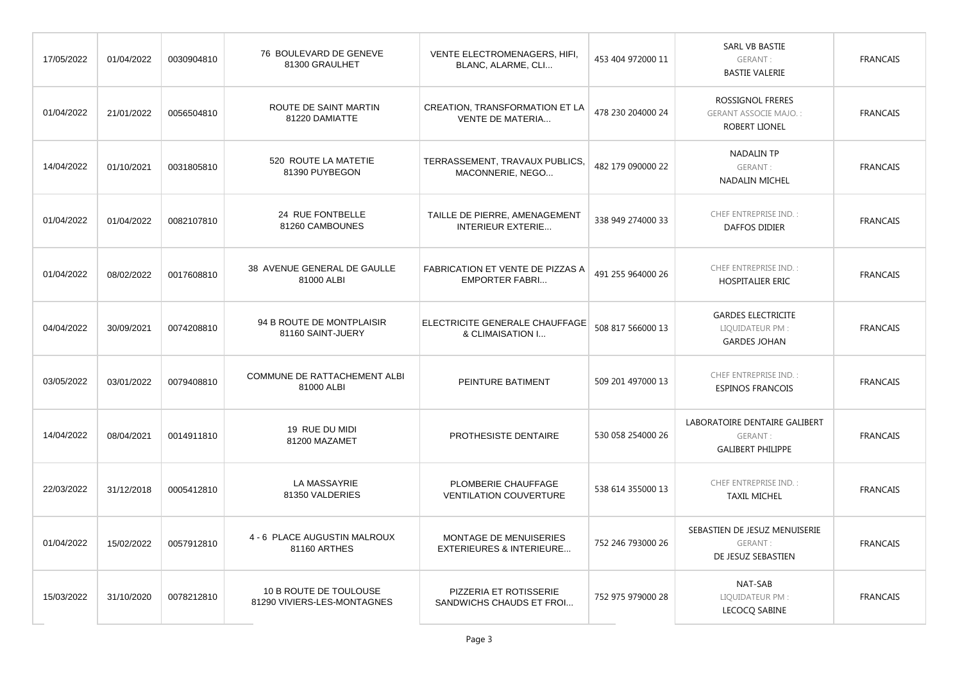| 17/05/2022 | 01/04/2022 | 0030904810 | 76 BOULEVARD DE GENEVE<br>81300 GRAULHET              | VENTE ELECTROMENAGERS, HIFI,<br>BLANC, ALARME, CLI                   | 453 404 972000 11 | SARL VB BASTIE<br>GERANT:<br><b>BASTIE VALERIE</b>                   | <b>FRANCAIS</b> |
|------------|------------|------------|-------------------------------------------------------|----------------------------------------------------------------------|-------------------|----------------------------------------------------------------------|-----------------|
| 01/04/2022 | 21/01/2022 | 0056504810 | ROUTE DE SAINT MARTIN<br>81220 DAMIATTE               | <b>CREATION, TRANSFORMATION ET LA</b><br><b>VENTE DE MATERIA</b>     | 478 230 204000 24 | ROSSIGNOL FRERES<br><b>GERANT ASSOCIE MAJO.:</b><br>ROBERT LIONEL    | <b>FRANCAIS</b> |
| 14/04/2022 | 01/10/2021 | 0031805810 | 520 ROUTE LA MATETIE<br>81390 PUYBEGON                | TERRASSEMENT, TRAVAUX PUBLICS,<br>MACONNERIE, NEGO                   | 482 179 090000 22 | <b>NADALIN TP</b><br>GERANT:<br>NADALIN MICHEL                       | <b>FRANCAIS</b> |
| 01/04/2022 | 01/04/2022 | 0082107810 | 24 RUE FONTBELLE<br>81260 CAMBOUNES                   | TAILLE DE PIERRE, AMENAGEMENT<br><b>INTERIEUR EXTERIE</b>            | 338 949 274000 33 | <b>CHEF ENTREPRISE IND.:</b><br><b>DAFFOS DIDIER</b>                 | <b>FRANCAIS</b> |
| 01/04/2022 | 08/02/2022 | 0017608810 | 38 AVENUE GENERAL DE GAULLE<br>81000 ALBI             | FABRICATION ET VENTE DE PIZZAS A<br><b>EMPORTER FABRI</b>            | 491 255 964000 26 | CHEF ENTREPRISE IND.:<br>HOSPITALIER ERIC                            | <b>FRANCAIS</b> |
| 04/04/2022 | 30/09/2021 | 0074208810 | 94 B ROUTE DE MONTPLAISIR<br>81160 SAINT-JUERY        | ELECTRICITE GENERALE CHAUFFAGE<br>& CLIMAISATION I                   | 508 817 566000 13 | <b>GARDES ELECTRICITE</b><br>LIQUIDATEUR PM:<br><b>GARDES JOHAN</b>  | <b>FRANCAIS</b> |
| 03/05/2022 | 03/01/2022 | 0079408810 | <b>COMMUNE DE RATTACHEMENT ALBI</b><br>81000 ALBI     | PEINTURE BATIMENT                                                    | 509 201 497000 13 | <b>CHEF ENTREPRISE IND.:</b><br><b>ESPINOS FRANCOIS</b>              | <b>FRANCAIS</b> |
| 14/04/2022 | 08/04/2021 | 0014911810 | 19 RUE DU MIDI<br>81200 MAZAMET                       | PROTHESISTE DENTAIRE                                                 | 530 058 254000 26 | LABORATOIRE DENTAIRE GALIBERT<br>GERANT:<br><b>GALIBERT PHILIPPE</b> | <b>FRANCAIS</b> |
| 22/03/2022 | 31/12/2018 | 0005412810 | LA MASSAYRIE<br>81350 VALDERIES                       | PLOMBERIE CHAUFFAGE<br><b>VENTILATION COUVERTURE</b>                 | 538 614 355000 13 | <b>CHEF ENTREPRISE IND.:</b><br><b>TAXIL MICHEL</b>                  | <b>FRANCAIS</b> |
| 01/04/2022 | 15/02/2022 | 0057912810 | 4 - 6 PLACE AUGUSTIN MALROUX<br>81160 ARTHES          | <b>MONTAGE DE MENUISERIES</b><br><b>EXTERIEURES &amp; INTERIEURE</b> | 752 246 793000 26 | SEBASTIEN DE JESUZ MENUISERIE<br>GERANT:<br>DE JESUZ SEBASTIEN       | <b>FRANCAIS</b> |
| 15/03/2022 | 31/10/2020 | 0078212810 | 10 B ROUTE DE TOULOUSE<br>81290 VIVIERS-LES-MONTAGNES | PIZZERIA ET ROTISSERIE<br>SANDWICHS CHAUDS ET FROI                   | 752 975 979000 28 | NAT-SAB<br>LIQUIDATEUR PM:<br>LECOCQ SABINE                          | <b>FRANCAIS</b> |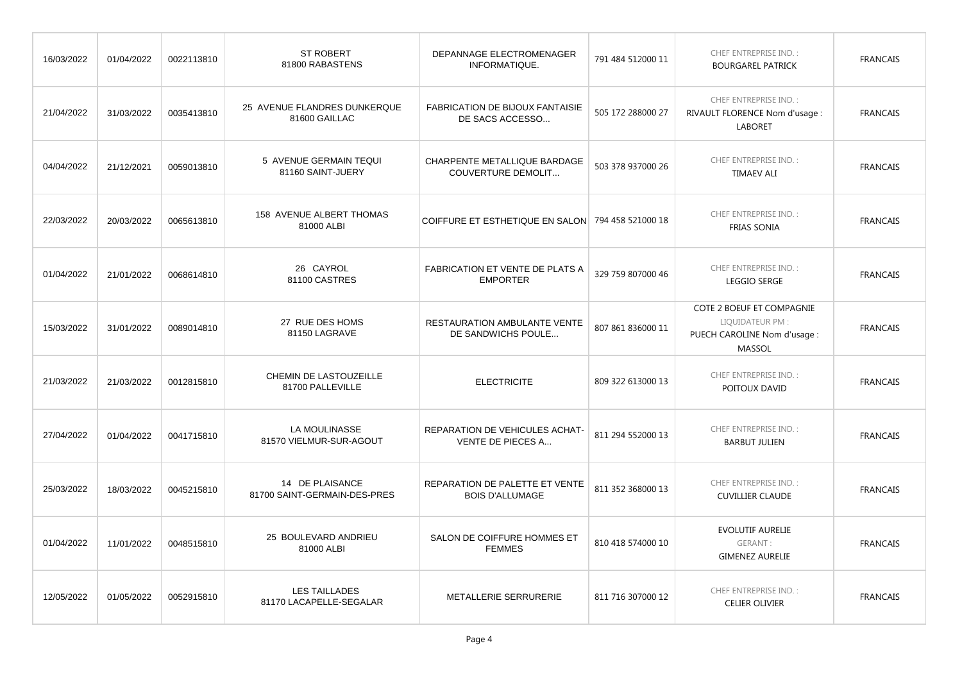| 16/03/2022 | 01/04/2022 | 0022113810 | <b>ST ROBERT</b><br>81800 RABASTENS             | DEPANNAGE ELECTROMENAGER<br>INFORMATIQUE.                        | 791 484 512000 11 | CHEF ENTREPRISE IND.:<br><b>BOURGAREL PATRICK</b>                                       | <b>FRANCAIS</b> |
|------------|------------|------------|-------------------------------------------------|------------------------------------------------------------------|-------------------|-----------------------------------------------------------------------------------------|-----------------|
| 21/04/2022 | 31/03/2022 | 0035413810 | 25 AVENUE FLANDRES DUNKERQUE<br>81600 GAILLAC   | <b>FABRICATION DE BIJOUX FANTAISIE</b><br>DE SACS ACCESSO        | 505 172 288000 27 | CHEF ENTREPRISE IND.:<br>RIVAULT FLORENCE Nom d'usage :<br><b>LABORET</b>               | <b>FRANCAIS</b> |
| 04/04/2022 | 21/12/2021 | 0059013810 | 5 AVENUE GERMAIN TEQUI<br>81160 SAINT-JUERY     | <b>CHARPENTE METALLIQUE BARDAGE</b><br><b>COUVERTURE DEMOLIT</b> | 503 378 937000 26 | CHEF ENTREPRISE IND.:<br><b>TIMAEV ALI</b>                                              | <b>FRANCAIS</b> |
| 22/03/2022 | 20/03/2022 | 0065613810 | 158 AVENUE ALBERT THOMAS<br>81000 ALBI          | COIFFURE ET ESTHETIQUE EN SALON 794 458 521000 18                |                   | <b>CHEF ENTREPRISE IND.:</b><br>FRIAS SONIA                                             | <b>FRANCAIS</b> |
| 01/04/2022 | 21/01/2022 | 0068614810 | 26 CAYROL<br>81100 CASTRES                      | <b>FABRICATION ET VENTE DE PLATS A</b><br><b>EMPORTER</b>        | 329 759 807000 46 | CHEF ENTREPRISE IND.:<br>LEGGIO SERGE                                                   | <b>FRANCAIS</b> |
| 15/03/2022 | 31/01/2022 | 0089014810 | 27 RUE DES HOMS<br>81150 LAGRAVE                | RESTAURATION AMBULANTE VENTE<br>DE SANDWICHS POULE               | 807 861 836000 11 | COTE 2 BOEUF ET COMPAGNIE<br>LIQUIDATEUR PM :<br>PUECH CAROLINE Nom d'usage :<br>MASSOL | <b>FRANCAIS</b> |
| 21/03/2022 | 21/03/2022 | 0012815810 | CHEMIN DE LASTOUZEILLE<br>81700 PALLEVILLE      | <b>ELECTRICITE</b>                                               | 809 322 613000 13 | CHEF ENTREPRISE IND.:<br>POITOUX DAVID                                                  | <b>FRANCAIS</b> |
| 27/04/2022 | 01/04/2022 | 0041715810 | LA MOULINASSE<br>81570 VIELMUR-SUR-AGOUT        | REPARATION DE VEHICULES ACHAT-<br>VENTE DE PIECES A              | 811 294 552000 13 | <b>CHEF ENTREPRISE IND.:</b><br><b>BARBUT JULIEN</b>                                    | <b>FRANCAIS</b> |
| 25/03/2022 | 18/03/2022 | 0045215810 | 14 DE PLAISANCE<br>81700 SAINT-GERMAIN-DES-PRES | REPARATION DE PALETTE ET VENTE<br><b>BOIS D'ALLUMAGE</b>         | 811 352 368000 13 | CHEF ENTREPRISE IND.:<br><b>CUVILLIER CLAUDE</b>                                        | <b>FRANCAIS</b> |
| 01/04/2022 | 11/01/2022 | 0048515810 | 25 BOULEVARD ANDRIEU<br>81000 ALBI              | SALON DE COIFFURE HOMMES ET<br><b>FEMMES</b>                     | 810 418 574000 10 | EVOLUTIF AURELIE<br>GERANT:<br><b>GIMENEZ AURELIE</b>                                   | <b>FRANCAIS</b> |
| 12/05/2022 | 01/05/2022 | 0052915810 | <b>LES TAILLADES</b><br>81170 LACAPELLE-SEGALAR | METALLERIE SERRURERIE                                            | 811 716 307000 12 | CHEF ENTREPRISE IND.:<br><b>CELIER OLIVIER</b>                                          | <b>FRANCAIS</b> |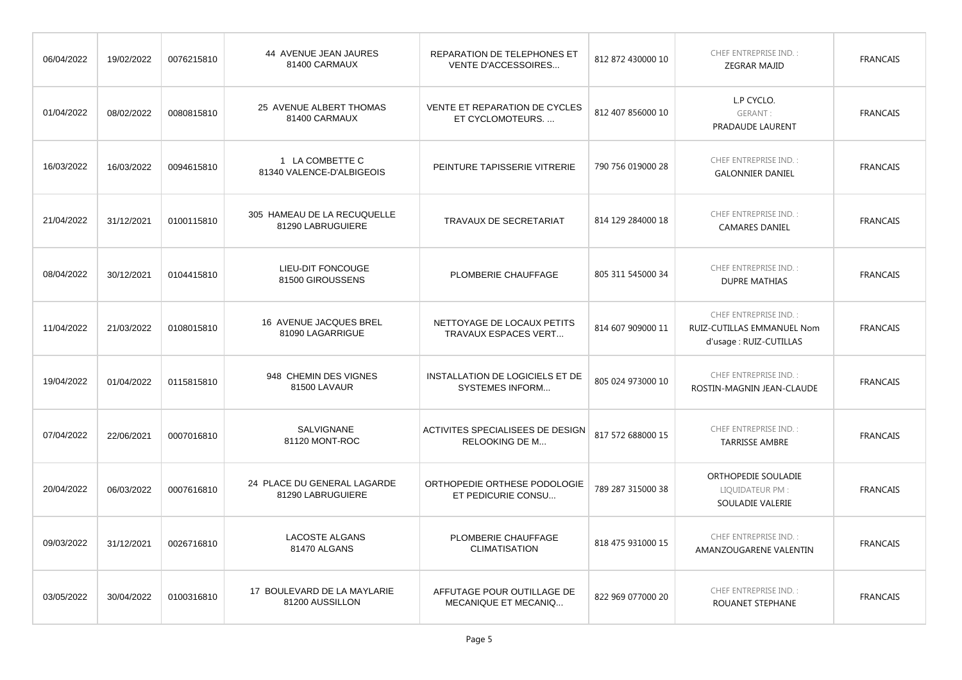| 06/04/2022 | 19/02/2022 | 0076215810 | 44 AVENUE JEAN JAURES<br>81400 CARMAUX           | REPARATION DE TELEPHONES ET<br>VENTE D'ACCESSOIRES        | 812 872 430000 10 | CHEF ENTREPRISE IND.:<br><b>ZEGRAR MAJID</b>                                   | <b>FRANCAIS</b> |
|------------|------------|------------|--------------------------------------------------|-----------------------------------------------------------|-------------------|--------------------------------------------------------------------------------|-----------------|
| 01/04/2022 | 08/02/2022 | 0080815810 | 25 AVENUE ALBERT THOMAS<br>81400 CARMAUX         | <b>VENTE ET REPARATION DE CYCLES</b><br>ET CYCLOMOTEURS   | 812 407 856000 10 | L.P CYCLO.<br>GERANT:<br>PRADAUDE LAURENT                                      | <b>FRANCAIS</b> |
| 16/03/2022 | 16/03/2022 | 0094615810 | 1 LA COMBETTE C<br>81340 VALENCE-D'ALBIGEOIS     | PEINTURE TAPISSERIE VITRERIE                              | 790 756 019000 28 | CHEF ENTREPRISE IND.:<br><b>GALONNIER DANIEL</b>                               | <b>FRANCAIS</b> |
| 21/04/2022 | 31/12/2021 | 0100115810 | 305 HAMEAU DE LA RECUQUELLE<br>81290 LABRUGUIERE | TRAVAUX DE SECRETARIAT                                    | 814 129 284000 18 | CHEF ENTREPRISE IND.:<br><b>CAMARES DANIEL</b>                                 | <b>FRANCAIS</b> |
| 08/04/2022 | 30/12/2021 | 0104415810 | LIEU-DIT FONCOUGE<br>81500 GIROUSSENS            | PLOMBERIE CHAUFFAGE                                       | 805 311 545000 34 | CHEF ENTREPRISE IND.:<br><b>DUPRE MATHIAS</b>                                  | <b>FRANCAIS</b> |
| 11/04/2022 | 21/03/2022 | 0108015810 | 16 AVENUE JACQUES BREL<br>81090 LAGARRIGUE       | NETTOYAGE DE LOCAUX PETITS<br>TRAVAUX ESPACES VERT        | 814 607 909000 11 | CHEF ENTREPRISE IND.:<br>RUIZ-CUTILLAS EMMANUEL Nom<br>d'usage : RUIZ-CUTILLAS | <b>FRANCAIS</b> |
| 19/04/2022 | 01/04/2022 | 0115815810 | 948 CHEMIN DES VIGNES<br>81500 LAVAUR            | INSTALLATION DE LOGICIELS ET DE<br><b>SYSTEMES INFORM</b> | 805 024 973000 10 | CHEF ENTREPRISE IND.:<br>ROSTIN-MAGNIN JEAN-CLAUDE                             | <b>FRANCAIS</b> |
| 07/04/2022 | 22/06/2021 | 0007016810 | <b>SALVIGNANE</b><br>81120 MONT-ROC              | ACTIVITES SPECIALISEES DE DESIGN<br><b>RELOOKING DE M</b> | 817 572 688000 15 | CHEF ENTREPRISE IND.:<br><b>TARRISSE AMBRE</b>                                 | <b>FRANCAIS</b> |
| 20/04/2022 | 06/03/2022 | 0007616810 | 24 PLACE DU GENERAL LAGARDE<br>81290 LABRUGUIERE | ORTHOPEDIE ORTHESE PODOLOGIE<br>ET PEDICURIE CONSU        | 789 287 315000 38 | ORTHOPEDIE SOULADIE<br>LIQUIDATEUR PM:<br>SOULADIE VALERIE                     | <b>FRANCAIS</b> |
| 09/03/2022 | 31/12/2021 | 0026716810 | <b>LACOSTE ALGANS</b><br>81470 ALGANS            | PLOMBERIE CHAUFFAGE<br><b>CLIMATISATION</b>               | 818 475 931000 15 | CHEF ENTREPRISE IND.:<br>AMANZOUGARENE VALENTIN                                | <b>FRANCAIS</b> |
| 03/05/2022 | 30/04/2022 | 0100316810 | 17 BOULEVARD DE LA MAYLARIE<br>81200 AUSSILLON   | AFFUTAGE POUR OUTILLAGE DE<br>MECANIQUE ET MECANIQ        | 822 969 077000 20 | CHEF ENTREPRISE IND.:<br>ROUANET STEPHANE                                      | <b>FRANCAIS</b> |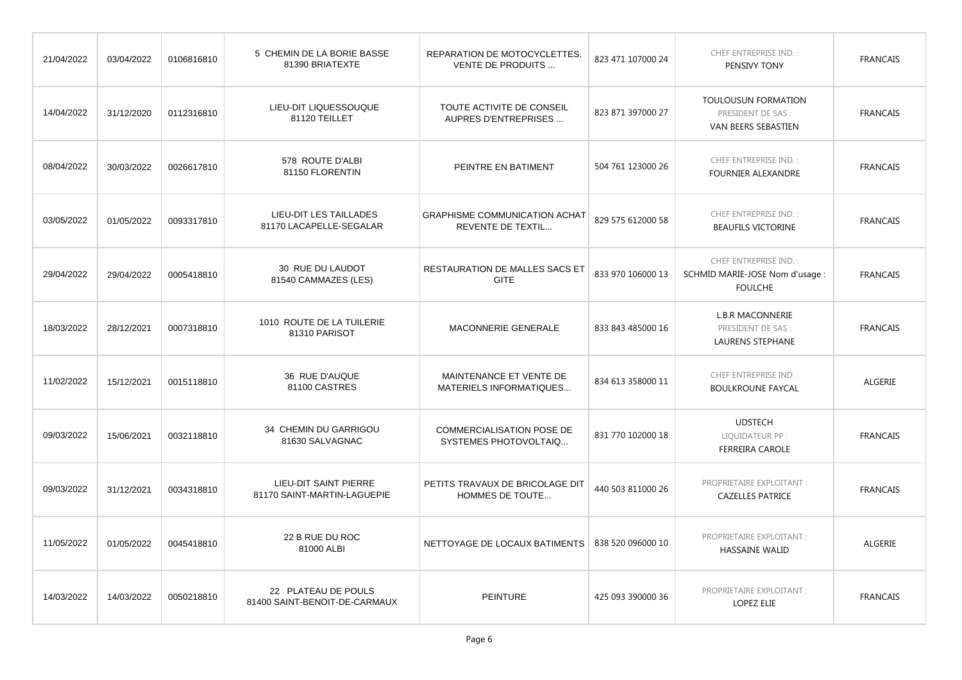| 21/04/2022 | 03/04/2022 | 0106816810 | 5 CHEMIN DE LA BORIE BASSE<br>81390 BRIATEXTE               | REPARATION DE MOTOCYCLETTES.<br>VENTE DE PRODUITS                | 823 471 107000 24 | <b>CHEF ENTREPRISE IND.:</b><br>PENSIVY TONY                                      | <b>FRANCAIS</b> |
|------------|------------|------------|-------------------------------------------------------------|------------------------------------------------------------------|-------------------|-----------------------------------------------------------------------------------|-----------------|
| 14/04/2022 | 31/12/2020 | 0112316810 | LIEU-DIT LIQUESSOUQUE<br>81120 TEILLET                      | TOUTE ACTIVITE DE CONSEIL<br>AUPRES D'ENTREPRISES                | 823 871 397000 27 | TOULOUSUN FORMATION<br>PRESIDENT DE SAS :<br>VAN BEERS SEBASTIEN                  | <b>FRANCAIS</b> |
| 08/04/2022 | 30/03/2022 | 0026617810 | 578 ROUTE D'ALBI<br>81150 FLORENTIN                         | PEINTRE EN BATIMENT                                              | 504 761 123000 26 | <b>CHEF ENTREPRISE IND.:</b><br><b>FOURNIER ALEXANDRE</b>                         | <b>FRANCAIS</b> |
| 03/05/2022 | 01/05/2022 | 0093317810 | LIEU-DIT LES TAILLADES<br>81170 LACAPELLE-SEGALAR           | <b>GRAPHISME COMMUNICATION ACHAT</b><br><b>REVENTE DE TEXTIL</b> | 829 575 612000 58 | <b>CHEF ENTREPRISE IND.:</b><br><b>BEAUFILS VICTORINE</b>                         | <b>FRANCAIS</b> |
| 29/04/2022 | 29/04/2022 | 0005418810 | 30 RUE DU LAUDOT<br>81540 CAMMAZES (LES)                    | RESTAURATION DE MALLES SACS ET<br><b>GITE</b>                    | 833 970 106000 13 | <b>CHEF ENTREPRISE IND.:</b><br>SCHMID MARIE-JOSE Nom d'usage :<br><b>FOULCHE</b> | <b>FRANCAIS</b> |
| 18/03/2022 | 28/12/2021 | 0007318810 | 1010 ROUTE DE LA TUILERIE<br>81310 PARISOT                  | MACONNERIE GENERALE                                              | 833 843 485000 16 | <b>L.B.R MACONNERIE</b><br>PRESIDENT DE SAS :<br>LAURENS STEPHANE                 | <b>FRANCAIS</b> |
| 11/02/2022 | 15/12/2021 | 0015118810 | 36 RUE D'AUQUE<br>81100 CASTRES                             | MAINTENANCE ET VENTE DE<br>MATERIELS INFORMATIQUES               | 834 613 358000 11 | <b>CHEF ENTREPRISE IND.:</b><br><b>BOULKROUNE FAYCAL</b>                          | ALGERIE         |
| 09/03/2022 | 15/06/2021 | 0032118810 | 34 CHEMIN DU GARRIGOU<br>81630 SALVAGNAC                    | <b>COMMERCIALISATION POSE DE</b><br>SYSTEMES PHOTOVOLTAIQ        | 831 770 102000 18 | <b>UDSTECH</b><br>LIQUIDATEUR PP :<br><b>FERREIRA CAROLE</b>                      | <b>FRANCAIS</b> |
| 09/03/2022 | 31/12/2021 | 0034318810 | <b>LIEU-DIT SAINT PIERRE</b><br>81170 SAINT-MARTIN-LAGUEPIE | PETITS TRAVAUX DE BRICOLAGE DIT<br>HOMMES DE TOUTE               | 440 503 811000 26 | PROPRIETAIRE EXPLOITANT :<br><b>CAZELLES PATRICE</b>                              | <b>FRANCAIS</b> |
| 11/05/2022 | 01/05/2022 | 0045418810 | 22 B RUE DU ROC<br>81000 ALBI                               | NETTOYAGE DE LOCAUX BATIMENTS                                    | 838 520 096000 10 | PROPRIETAIRE EXPLOITANT :<br><b>HASSAINE WALID</b>                                | ALGERIE         |
| 14/03/2022 | 14/03/2022 | 0050218810 | 22 PLATEAU DE POULS<br>81400 SAINT-BENOIT-DE-CARMAUX        | <b>PEINTURE</b>                                                  | 425 093 390000 36 | PROPRIETAIRE EXPLOITANT :<br><b>LOPEZ ELIE</b>                                    | <b>FRANCAIS</b> |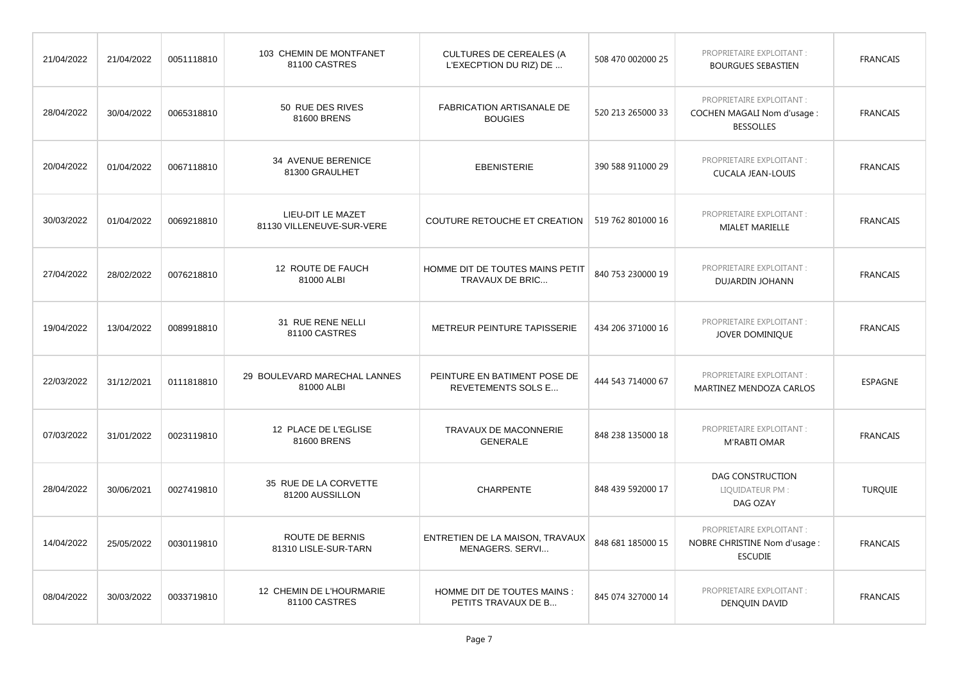| 21/04/2022 | 21/04/2022 | 0051118810 | 103 CHEMIN DE MONTFANET<br>81100 CASTRES       | <b>CULTURES DE CEREALES (A</b><br>L'EXECPTION DU RIZ) DE  | 508 470 002000 25 | PROPRIETAIRE EXPLOITANT :<br><b>BOURGUES SEBASTIEN</b>                             | <b>FRANCAIS</b> |
|------------|------------|------------|------------------------------------------------|-----------------------------------------------------------|-------------------|------------------------------------------------------------------------------------|-----------------|
| 28/04/2022 | 30/04/2022 | 0065318810 | 50 RUE DES RIVES<br>81600 BRENS                | FABRICATION ARTISANALE DE<br><b>BOUGIES</b>               | 520 213 265000 33 | PROPRIETAIRE EXPLOITANT :<br><b>COCHEN MAGALI Nom d'usage:</b><br><b>BESSOLLES</b> | <b>FRANCAIS</b> |
| 20/04/2022 | 01/04/2022 | 0067118810 | 34 AVENUE BERENICE<br>81300 GRAULHET           | <b>EBENISTERIE</b>                                        | 390 588 911000 29 | PROPRIETAIRE EXPLOITANT :<br><b>CUCALA JEAN-LOUIS</b>                              | <b>FRANCAIS</b> |
| 30/03/2022 | 01/04/2022 | 0069218810 | LIEU-DIT LE MAZET<br>81130 VILLENEUVE-SUR-VERE | COUTURE RETOUCHE ET CREATION                              | 519 762 801000 16 | PROPRIETAIRE EXPLOITANT :<br>MIALET MARIELLE                                       | <b>FRANCAIS</b> |
| 27/04/2022 | 28/02/2022 | 0076218810 | 12 ROUTE DE FAUCH<br>81000 ALBI                | HOMME DIT DE TOUTES MAINS PETIT<br>TRAVAUX DE BRIC        | 840 753 230000 19 | PROPRIETAIRE EXPLOITANT :<br>DUJARDIN JOHANN                                       | <b>FRANCAIS</b> |
| 19/04/2022 | 13/04/2022 | 0089918810 | 31 RUE RENE NELLI<br>81100 CASTRES             | METREUR PEINTURE TAPISSERIE                               | 434 206 371000 16 | PROPRIETAIRE EXPLOITANT :<br>JOVER DOMINIQUE                                       | <b>FRANCAIS</b> |
| 22/03/2022 | 31/12/2021 | 0111818810 | 29 BOULEVARD MARECHAL LANNES<br>81000 ALBI     | PEINTURE EN BATIMENT POSE DE<br><b>REVETEMENTS SOLS E</b> | 444 543 714000 67 | PROPRIETAIRE EXPLOITANT :<br>MARTINEZ MENDOZA CARLOS                               | <b>ESPAGNE</b>  |
| 07/03/2022 | 31/01/2022 | 0023119810 | 12 PLACE DE L'EGLISE<br>81600 BRENS            | TRAVAUX DE MACONNERIE<br><b>GENERALE</b>                  | 848 238 135000 18 | PROPRIETAIRE EXPLOITANT :<br><b>M'RABTI OMAR</b>                                   | <b>FRANCAIS</b> |
| 28/04/2022 | 30/06/2021 | 0027419810 | 35 RUE DE LA CORVETTE<br>81200 AUSSILLON       | <b>CHARPENTE</b>                                          | 848 439 592000 17 | DAG CONSTRUCTION<br>LIQUIDATEUR PM:<br>DAG OZAY                                    | <b>TURQUIE</b>  |
| 14/04/2022 | 25/05/2022 | 0030119810 | <b>ROUTE DE BERNIS</b><br>81310 LISLE-SUR-TARN | ENTRETIEN DE LA MAISON, TRAVAUX<br>MENAGERS, SERVI        | 848 681 185000 15 | PROPRIETAIRE EXPLOITANT :<br>NOBRE CHRISTINE Nom d'usage :<br><b>ESCUDIE</b>       | <b>FRANCAIS</b> |
| 08/04/2022 | 30/03/2022 | 0033719810 | 12 CHEMIN DE L'HOURMARIE<br>81100 CASTRES      | HOMME DIT DE TOUTES MAINS :<br>PETITS TRAVAUX DE B        | 845 074 327000 14 | PROPRIETAIRE EXPLOITANT :<br>DENQUIN DAVID                                         | <b>FRANCAIS</b> |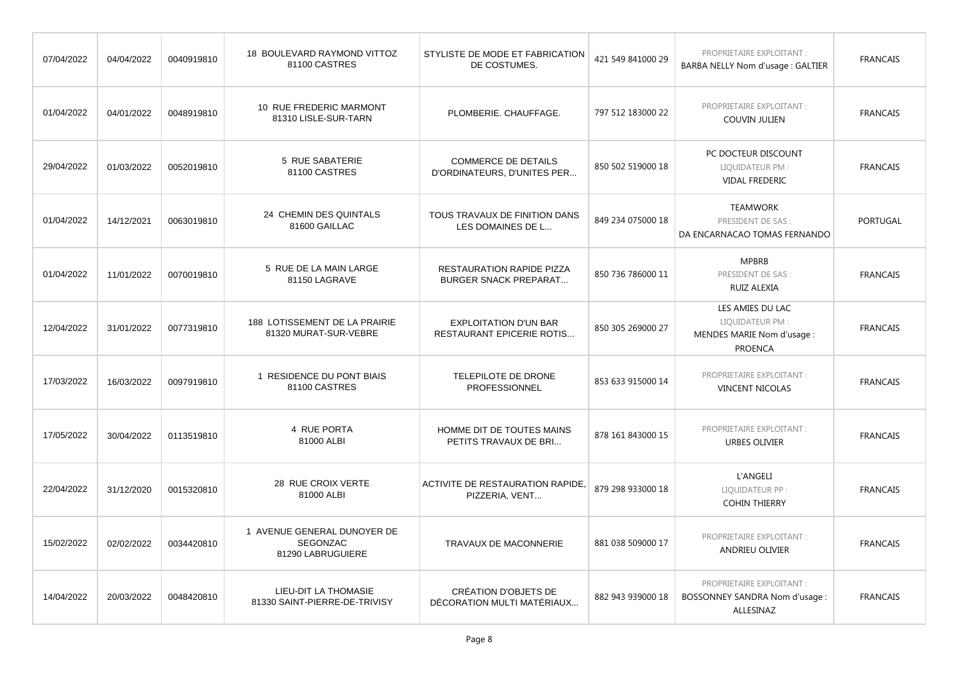| 07/04/2022 | 04/04/2022 | 0040919810 | 18 BOULEVARD RAYMOND VITTOZ<br>81100 CASTRES                        | STYLISTE DE MODE ET FABRICATION<br>DE COSTUMES.                  | 421 549 841000 29 | PROPRIETAIRE EXPLOITANT :<br>BARBA NELLY Nom d'usage : GALTIER                      | <b>FRANCAIS</b> |
|------------|------------|------------|---------------------------------------------------------------------|------------------------------------------------------------------|-------------------|-------------------------------------------------------------------------------------|-----------------|
| 01/04/2022 | 04/01/2022 | 0048919810 | 10 RUE FREDERIC MARMONT<br>81310 LISLE-SUR-TARN                     | PLOMBERIE. CHAUFFAGE.                                            | 797 512 183000 22 | PROPRIETAIRE EXPLOITANT :<br><b>COUVIN JULIEN</b>                                   | <b>FRANCAIS</b> |
| 29/04/2022 | 01/03/2022 | 0052019810 | 5 RUE SABATERIE<br>81100 CASTRES                                    | <b>COMMERCE DE DETAILS</b><br>D'ORDINATEURS, D'UNITES PER        | 850 502 519000 18 | PC DOCTEUR DISCOUNT<br>LIQUIDATEUR PM:<br><b>VIDAL FREDERIC</b>                     | <b>FRANCAIS</b> |
| 01/04/2022 | 14/12/2021 | 0063019810 | 24 CHEMIN DES QUINTALS<br>81600 GAILLAC                             | TOUS TRAVAUX DE FINITION DANS<br>LES DOMAINES DE L               | 849 234 075000 18 | <b>TEAMWORK</b><br>PRESIDENT DE SAS :<br>DA ENCARNACAO TOMAS FERNANDO               | PORTUGAL        |
| 01/04/2022 | 11/01/2022 | 0070019810 | 5 RUE DE LA MAIN LARGE<br>81150 LAGRAVE                             | <b>RESTAURATION RAPIDE PIZZA</b><br><b>BURGER SNACK PREPARAT</b> | 850 736 786000 11 | <b>MPBRB</b><br>PRESIDENT DE SAS :<br><b>RUIZ ALEXIA</b>                            | <b>FRANCAIS</b> |
| 12/04/2022 | 31/01/2022 | 0077319810 | 188 LOTISSEMENT DE LA PRAIRIE<br>81320 MURAT-SUR-VEBRE              | <b>EXPLOITATION D'UN BAR</b><br><b>RESTAURANT EPICERIE ROTIS</b> | 850 305 269000 27 | LES AMIES DU LAC<br>LIQUIDATEUR PM:<br>MENDES MARIE Nom d'usage :<br><b>PROENCA</b> | <b>FRANCAIS</b> |
| 17/03/2022 | 16/03/2022 | 0097919810 | 1 RESIDENCE DU PONT BIAIS<br>81100 CASTRES                          | TELEPILOTE DE DRONE<br><b>PROFESSIONNEL</b>                      | 853 633 915000 14 | PROPRIETAIRE EXPLOITANT :<br><b>VINCENT NICOLAS</b>                                 | <b>FRANCAIS</b> |
| 17/05/2022 | 30/04/2022 | 0113519810 | 4 RUE PORTA<br>81000 ALBI                                           | HOMME DIT DE TOUTES MAINS<br>PETITS TRAVAUX DE BRI               | 878 161 843000 15 | PROPRIETAIRE EXPLOITANT :<br><b>URBES OLIVIER</b>                                   | <b>FRANCAIS</b> |
| 22/04/2022 | 31/12/2020 | 0015320810 | 28 RUE CROIX VERTE<br>81000 ALBI                                    | ACTIVITE DE RESTAURATION RAPIDE<br>PIZZERIA, VENT                | 879 298 933000 18 | L'ANGELI<br>LIQUIDATEUR PP :<br><b>COHIN THIERRY</b>                                | <b>FRANCAIS</b> |
| 15/02/2022 | 02/02/2022 | 0034420810 | 1 AVENUE GENERAL DUNOYER DE<br><b>SEGONZAC</b><br>81290 LABRUGUIERE | <b>TRAVAUX DE MACONNERIE</b>                                     | 881 038 509000 17 | PROPRIETAIRE EXPLOITANT :<br>ANDRIEU OLIVIER                                        | <b>FRANCAIS</b> |
| 14/04/2022 | 20/03/2022 | 0048420810 | LIEU-DIT LA THOMASIE<br>81330 SAINT-PIERRE-DE-TRIVISY               | <b>CRÉATION D'OBJETS DE</b><br>DÉCORATION MULTI MATÉRIAUX        | 882 943 939000 18 | PROPRIETAIRE EXPLOITANT :<br>BOSSONNEY SANDRA Nom d'usage :<br>ALLESINAZ            | <b>FRANCAIS</b> |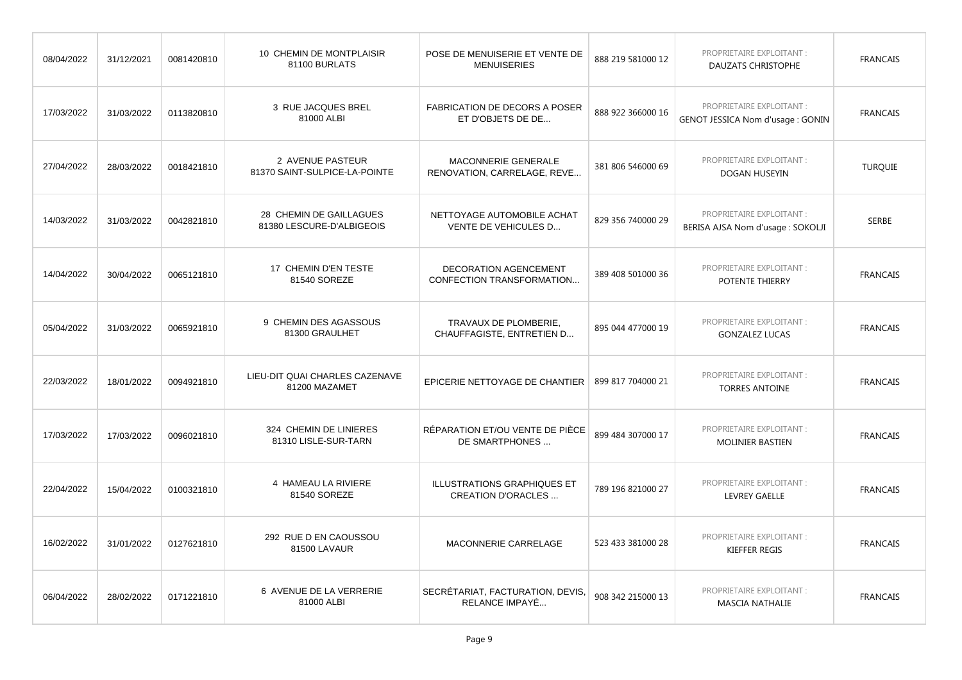| 08/04/2022 | 31/12/2021 | 0081420810 | 10 CHEMIN DE MONTPLAISIR<br>81100 BURLATS            | POSE DE MENUISERIE ET VENTE DE<br><b>MENUISERIES</b>      | 888 219 581000 12 | PROPRIETAIRE EXPLOITANT :<br>DAUZATS CHRISTOPHE                | <b>FRANCAIS</b> |
|------------|------------|------------|------------------------------------------------------|-----------------------------------------------------------|-------------------|----------------------------------------------------------------|-----------------|
| 17/03/2022 | 31/03/2022 | 0113820810 | 3 RUE JACQUES BREL<br>81000 ALBI                     | <b>FABRICATION DE DECORS A POSER</b><br>ET D'OBJETS DE DE | 888 922 366000 16 | PROPRIETAIRE EXPLOITANT :<br>GENOT JESSICA Nom d'usage : GONIN | <b>FRANCAIS</b> |
| 27/04/2022 | 28/03/2022 | 0018421810 | 2 AVENUE PASTEUR<br>81370 SAINT-SULPICE-LA-POINTE    | MACONNERIE GENERALE<br>RENOVATION, CARRELAGE, REVE        | 381 806 546000 69 | PROPRIETAIRE EXPLOITANT :<br>DOGAN HUSEYIN                     | <b>TURQUIE</b>  |
| 14/03/2022 | 31/03/2022 | 0042821810 | 28 CHEMIN DE GAILLAGUES<br>81380 LESCURE-D'ALBIGEOIS | NETTOYAGE AUTOMOBILE ACHAT<br>VENTE DE VEHICULES D        | 829 356 740000 29 | PROPRIETAIRE EXPLOITANT :<br>BERISA AJSA Nom d'usage : SOKOLJI | <b>SERBE</b>    |
| 14/04/2022 | 30/04/2022 | 0065121810 | 17 CHEMIN D'EN TESTE<br>81540 SOREZE                 | DECORATION AGENCEMENT<br>CONFECTION TRANSFORMATION        | 389 408 501000 36 | PROPRIETAIRE EXPLOITANT :<br>POTENTE THIERRY                   | <b>FRANCAIS</b> |
| 05/04/2022 | 31/03/2022 | 0065921810 | 9 CHEMIN DES AGASSOUS<br>81300 GRAULHET              | TRAVAUX DE PLOMBERIE,<br>CHAUFFAGISTE, ENTRETIEN D        | 895 044 477000 19 | PROPRIETAIRE EXPLOITANT :<br><b>GONZALEZ LUCAS</b>             | <b>FRANCAIS</b> |
| 22/03/2022 | 18/01/2022 | 0094921810 | LIEU-DIT QUAI CHARLES CAZENAVE<br>81200 MAZAMET      | EPICERIE NETTOYAGE DE CHANTIER                            | 899 817 704000 21 | PROPRIETAIRE EXPLOITANT :<br><b>TORRES ANTOINE</b>             | <b>FRANCAIS</b> |
| 17/03/2022 | 17/03/2022 | 0096021810 | 324 CHEMIN DE LINIERES<br>81310 LISLE-SUR-TARN       | RÉPARATION ET/OU VENTE DE PIÈCE<br>DE SMARTPHONES         | 899 484 307000 17 | PROPRIETAIRE EXPLOITANT :<br><b>MOLINIER BASTIEN</b>           | <b>FRANCAIS</b> |
| 22/04/2022 | 15/04/2022 | 0100321810 | 4 HAMEAU LA RIVIERE<br>81540 SOREZE                  | ILLUSTRATIONS GRAPHIQUES ET<br><b>CREATION D'ORACLES</b>  | 789 196 821000 27 | PROPRIETAIRE EXPLOITANT :<br><b>LEVREY GAELLE</b>              | <b>FRANCAIS</b> |
| 16/02/2022 | 31/01/2022 | 0127621810 | 292 RUE D EN CAOUSSOU<br>81500 LAVAUR                | MACONNERIE CARRELAGE                                      | 523 433 381000 28 | PROPRIETAIRE EXPLOITANT :<br><b>KIEFFER REGIS</b>              | <b>FRANCAIS</b> |
| 06/04/2022 | 28/02/2022 | 0171221810 | 6 AVENUE DE LA VERRERIE<br>81000 ALBI                | SECRÉTARIAT, FACTURATION, DEVIS.<br>RELANCE IMPAYÉ        | 908 342 215000 13 | PROPRIETAIRE EXPLOITANT :<br><b>MASCIA NATHALIE</b>            | <b>FRANCAIS</b> |